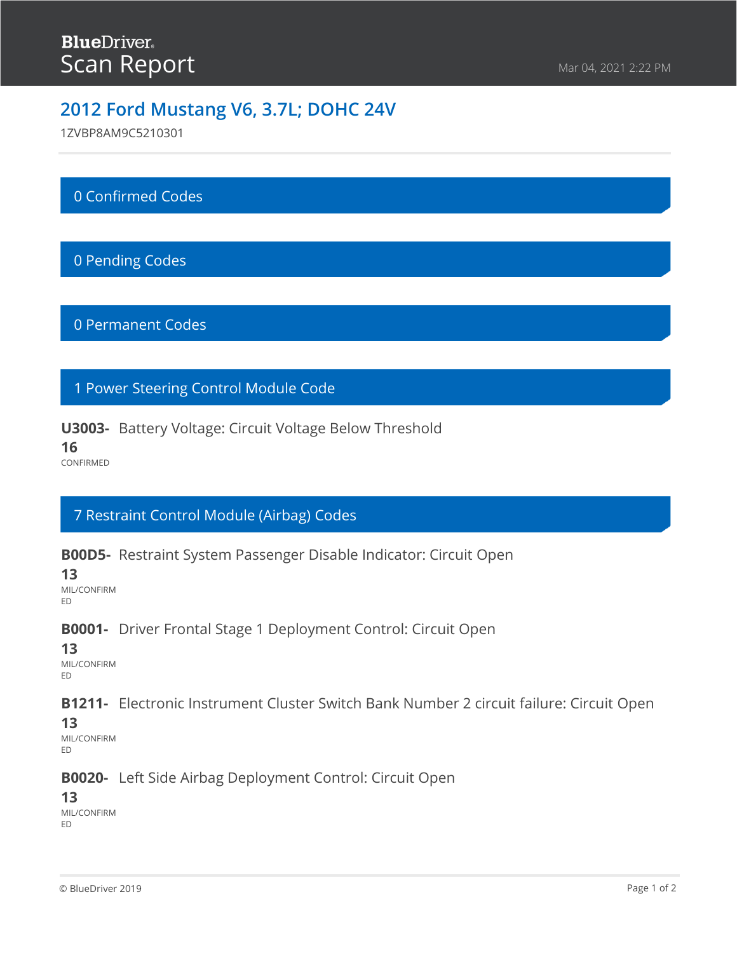1ZVBP8AM9C5210301

## 0 Confirmed Codes

## 0 Pending Codes

#### 0 Permanent Codes

### 1 Power Steering Control Module Code

#### **U3003-** Battery Voltage: Circuit Voltage Below Threshold

**16**

CONFIRMED

## 7 Restraint Control Module (Airbag) Codes

**B00D5-** Restraint System Passenger Disable Indicator: Circuit Open

**13**

MIL/CONFIRM ED

#### **B0001-** Driver Frontal Stage 1 Deployment Control: Circuit Open

#### **13**

MIL/CONFIRM ED

**B1211-** Electronic Instrument Cluster Switch Bank Number 2 circuit failure: Circuit Open

#### **13**

MIL/CONFIRM ED

#### **B0020-** Left Side Airbag Deployment Control: Circuit Open

#### **13**

MIL/CONFIRM ED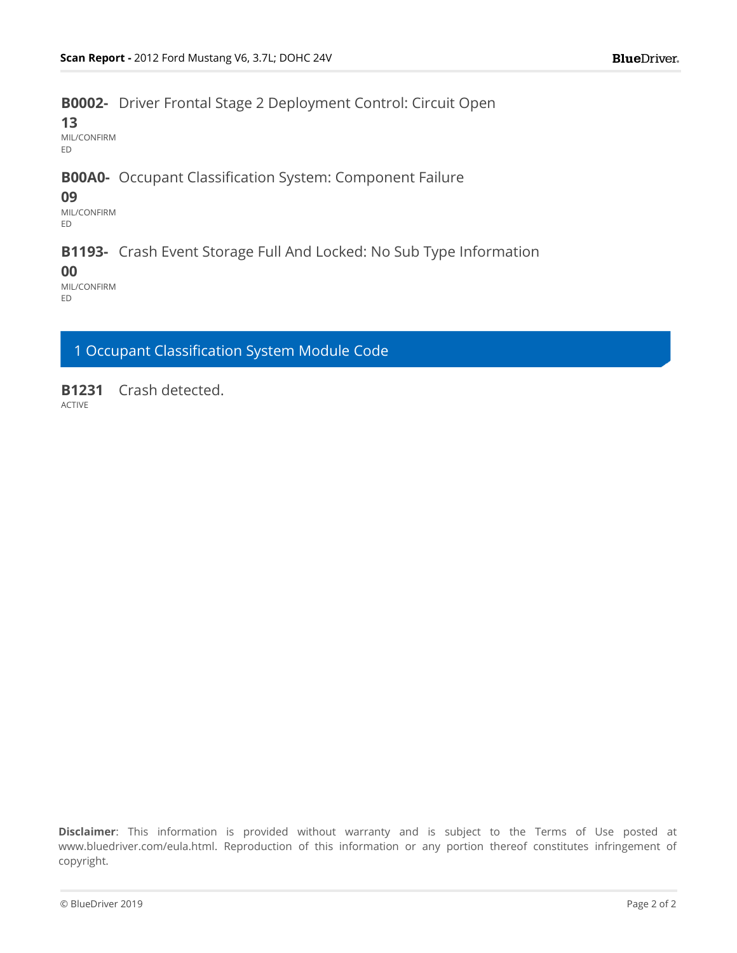### **B0002-** Driver Frontal Stage 2 Deployment Control: Circuit Open

**13**

MIL/CONFIRM ED

### **B00A0-** Occupant Classification System: Component Failure

#### **09**

MIL/CONFIRM ED

#### **B1193-** Crash Event Storage Full And Locked: No Sub Type Information

**00**

MIL/CONFIRM ED

1 Occupant Classification System Module Code

**B1231** Crash detected.

ACTIVE

**Disclaimer**: This information is provided without warranty and is subject to the Terms of Use posted at www.bluedriver.com/eula.html. Reproduction of this information or any portion thereof constitutes infringement of copyright.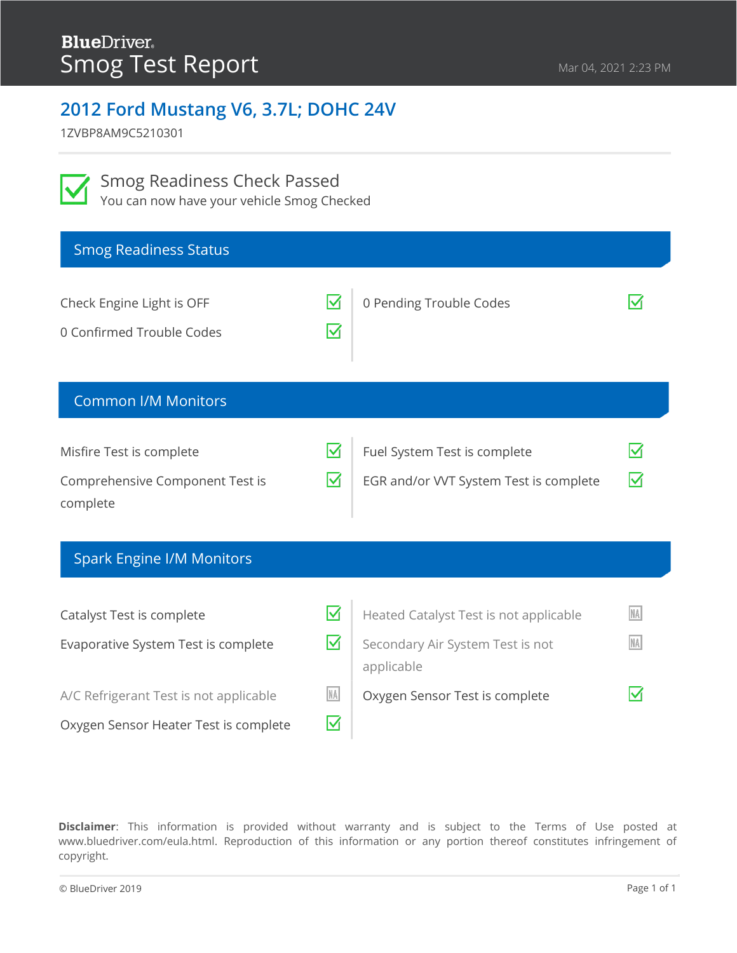1ZVBP8AM9C5210301

Smog Readiness Check Passed

You can now have your vehicle Smog Checked

| <b>Smog Readiness Status</b>                                                                                                                        |                                                                    |                                                                                                                            |                             |
|-----------------------------------------------------------------------------------------------------------------------------------------------------|--------------------------------------------------------------------|----------------------------------------------------------------------------------------------------------------------------|-----------------------------|
| Check Engine Light is OFF<br>0 Confirmed Trouble Codes                                                                                              | $\blacktriangledown$<br>$\overline{\mathsf{M}}$                    | 0 Pending Trouble Codes                                                                                                    |                             |
| <b>Common I/M Monitors</b>                                                                                                                          |                                                                    |                                                                                                                            |                             |
| Misfire Test is complete<br>Comprehensive Component Test is<br>complete                                                                             | ☑<br>$\overline{\blacktriangledown}$                               | Fuel System Test is complete<br>EGR and/or VVT System Test is complete                                                     | M                           |
| <b>Spark Engine I/M Monitors</b>                                                                                                                    |                                                                    |                                                                                                                            |                             |
| Catalyst Test is complete<br>Evaporative System Test is complete<br>A/C Refrigerant Test is not applicable<br>Oxygen Sensor Heater Test is complete | M<br>$\overline{\blacktriangledown}$<br>NA<br>$\blacktriangledown$ | Heated Catalyst Test is not applicable<br>Secondary Air System Test is not<br>applicable<br>Oxygen Sensor Test is complete | <b>NA</b><br><b>NA</b><br>M |

**Disclaimer**: This information is provided without warranty and is subject to the Terms of Use posted at www.bluedriver.com/eula.html. Reproduction of this information or any portion thereof constitutes infringement of copyright.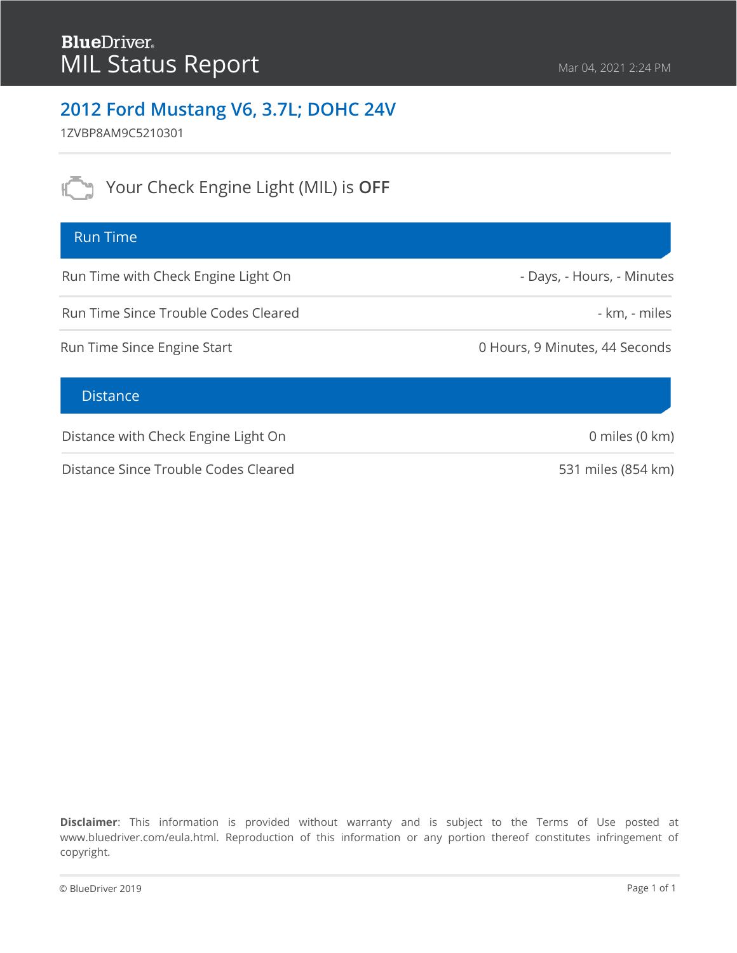1ZVBP8AM9C5210301

Your Check Engine Light (MIL) is OFF

### Run Time

Run Time with Check Engine Light On

Run Time Since Trouble Codes Cleared

Run Time Since Engine Start

#### **Distance**

Distance with Check Engine Light On

Distance Since Trouble Codes Cleared

**Disclaimer**: This information is provided without warranty and is subject to the Terms of Use posted at www.bluedriver.com/eula.html. Reproduction of this information or any portion thereof constitutes infringement of copyright.

- Days, - Hours, - Minutes

- km, - miles

0 Hours, 9 Minutes, 44 Seconds

0 miles (0 km)

531 miles (854 km)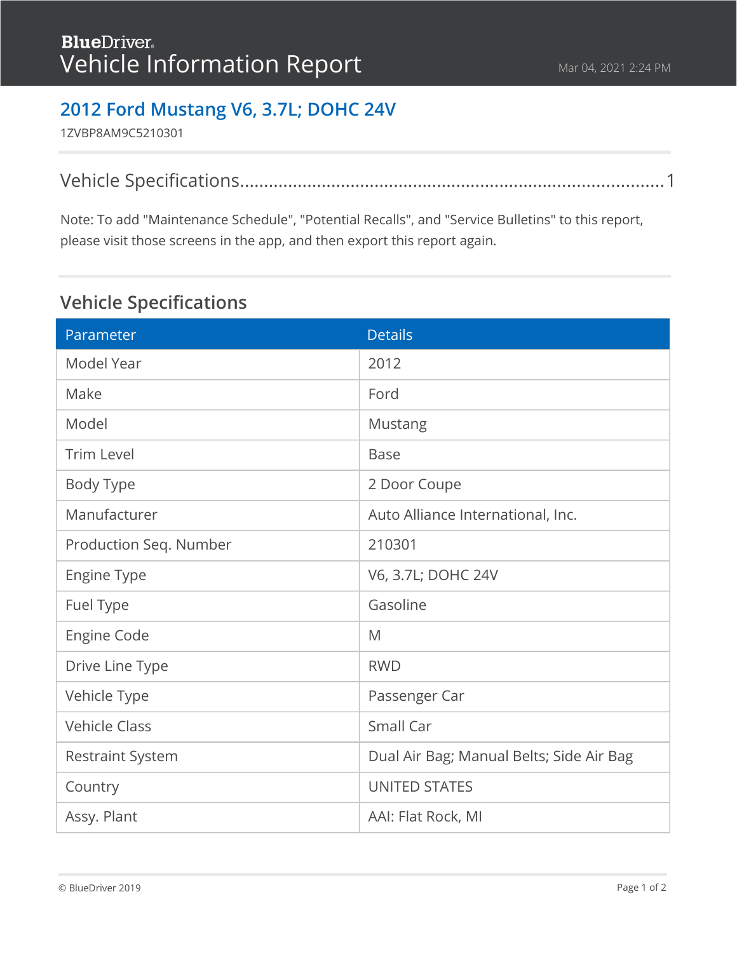1ZVBP8AM9C5210301

Note: To add "Maintenance Schedule", "Potential Recalls", and "Service Bulletins" to this report, please visit those screens in the app, and then export this report again.

# <span id="page-4-0"></span>**Vehicle Specifications**

| Parameter               | <b>Details</b>                           |
|-------------------------|------------------------------------------|
| Model Year              | 2012                                     |
| Make                    | Ford                                     |
| Model                   | Mustang                                  |
| <b>Trim Level</b>       | <b>Base</b>                              |
| Body Type               | 2 Door Coupe                             |
| Manufacturer            | Auto Alliance International, Inc.        |
| Production Seq. Number  | 210301                                   |
| Engine Type             | V6, 3.7L; DOHC 24V                       |
| Fuel Type               | Gasoline                                 |
| <b>Engine Code</b>      | M                                        |
| Drive Line Type         | <b>RWD</b>                               |
| Vehicle Type            | Passenger Car                            |
| <b>Vehicle Class</b>    | Small Car                                |
| <b>Restraint System</b> | Dual Air Bag; Manual Belts; Side Air Bag |
| Country                 | <b>UNITED STATES</b>                     |
| Assy. Plant             | AAI: Flat Rock, MI                       |